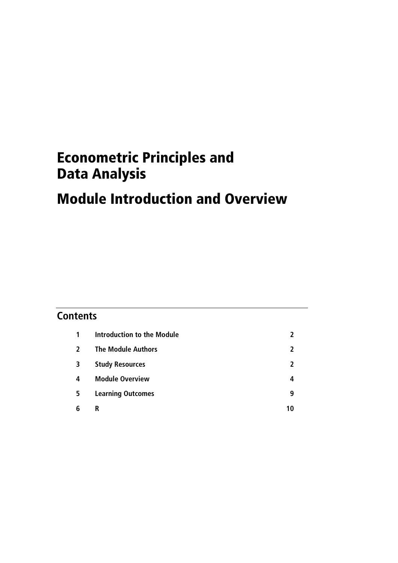# Econometric Principles and Data Analysis

# Module Introduction and Overview

# **Contents**

| 1 | Introduction to the Module |    |
|---|----------------------------|----|
| 2 | <b>The Module Authors</b>  | 7  |
| 3 | <b>Study Resources</b>     | 7  |
| 4 | <b>Module Overview</b>     | 4  |
| 5 | <b>Learning Outcomes</b>   | 9  |
| 6 | R                          | 10 |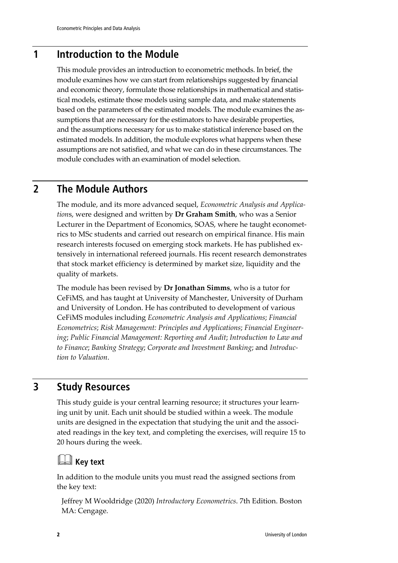# **1 Introduction to the Module**

This module provides an introduction to econometric methods. In brief, the module examines how we can start from relationships suggested by financial and economic theory, formulate those relationships in mathematical and statistical models, estimate those models using sample data, and make statements based on the parameters of the estimated models. The module examines the assumptions that are necessary for the estimators to have desirable properties, and the assumptions necessary for us to make statistical inference based on the estimated models. In addition, the module explores what happens when these assumptions are not satisfied, and what we can do in these circumstances. The module concludes with an examination of model selection.

# **2 The Module Authors**

The module, and its more advanced sequel, *Econometric Analysis and Application*s, were designed and written by **Dr Graham Smith**, who was a Senior Lecturer in the Department of Economics, SOAS, where he taught econometrics to MSc students and carried out research on empirical finance. His main research interests focused on emerging stock markets. He has published extensively in international refereed journals. His recent research demonstrates that stock market efficiency is determined by market size, liquidity and the quality of markets.

The module has been revised by **Dr Jonathan Simms**, who is a tutor for CeFiMS, and has taught at University of Manchester, University of Durham and University of London. He has contributed to development of various CeFiMS modules including *Econometric Analysis and Applications*; *Financial Econometrics*; *Risk Management: Principles and Applications*; *Financial Engineering*; *Public Financial Management: Reporting and Audit*; *Introduction to Law and to Finance*; *Banking Strategy*; *Corporate and Investment Banking*; and *Introduction to Valuation*.

# **3 Study Resources**

This study guide is your central learning resource; it structures your learning unit by unit. Each unit should be studied within a week. The module units are designed in the expectation that studying the unit and the associated readings in the key text, and completing the exercises, will require 15 to 20 hours during the week.

# **Key text**

In addition to the module units you must read the assigned sections from the key text:

Jeffrey M Wooldridge (2020) *Introductory Econometrics*. 7th Edition. Boston MA: Cengage.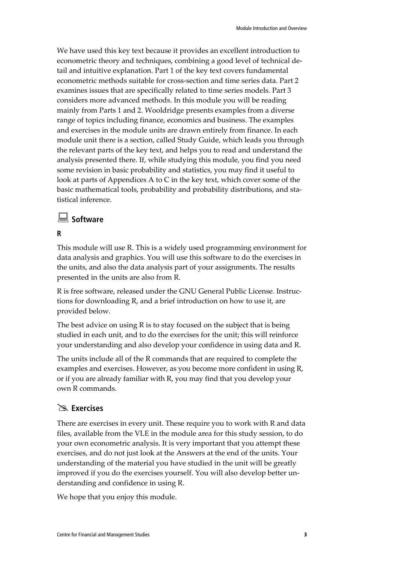We have used this key text because it provides an excellent introduction to econometric theory and techniques, combining a good level of technical detail and intuitive explanation. Part 1 of the key text covers fundamental econometric methods suitable for cross-section and time series data. Part 2 examines issues that are specifically related to time series models. Part 3 considers more advanced methods. In this module you will be reading mainly from Parts 1 and 2. Wooldridge presents examples from a diverse range of topics including finance, economics and business. The examples and exercises in the module units are drawn entirely from finance. In each module unit there is a section, called Study Guide, which leads you through the relevant parts of the key text, and helps you to read and understand the analysis presented there. If, while studying this module, you find you need some revision in basic probability and statistics, you may find it useful to look at parts of Appendices A to C in the key text, which cover some of the basic mathematical tools, probability and probability distributions, and statistical inference.

### **Software**

#### **R**

This module will use R. This is a widely used programming environment for data analysis and graphics. You will use this software to do the exercises in the units, and also the data analysis part of your assignments. The results presented in the units are also from R.

R is free software, released under the GNU General Public License. Instructions for downloading R, and a brief introduction on how to use it, are provided below.

The best advice on using R is to stay focused on the subject that is being studied in each unit, and to do the exercises for the unit; this will reinforce your understanding and also develop your confidence in using data and R.

The units include all of the R commands that are required to complete the examples and exercises. However, as you become more confident in using R, or if you are already familiar with R, you may find that you develop your own R commands.

## **Exercises**

There are exercises in every unit. These require you to work with R and data files, available from the VLE in the module area for this study session, to do your own econometric analysis. It is very important that you attempt these exercises, and do not just look at the Answers at the end of the units. Your understanding of the material you have studied in the unit will be greatly improved if you do the exercises yourself. You will also develop better understanding and confidence in using R.

We hope that you enjoy this module.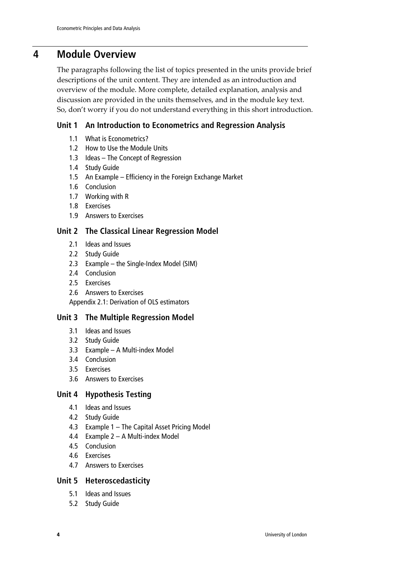# **4 Module Overview**

The paragraphs following the list of topics presented in the units provide brief descriptions of the unit content. They are intended as an introduction and overview of the module. More complete, detailed explanation, analysis and discussion are provided in the units themselves, and in the module key text. So, don't worry if you do not understand everything in this short introduction.

#### **Unit 1 An Introduction to Econometrics and Regression Analysis**

- 1.1 What is Econometrics?
- 1.2 How to Use the Module Units
- 1.3 Ideas The Concept of Regression
- 1.4 Study Guide
- 1.5 An Example Efficiency in the Foreign Exchange Market
- 1.6 Conclusion
- 1.7 Working with R
- 1.8 Exercises
- 1.9 Answers to Exercises

#### **Unit 2 The Classical Linear Regression Model**

- 2.1 Ideas and Issues
- 2.2 Study Guide
- 2.3 Example the Single-Index Model (SIM)
- 2.4 Conclusion
- 2.5 Exercises
- 2.6 Answers to Exercises

Appendix 2.1: Derivation of OLS estimators

#### **Unit 3 The Multiple Regression Model**

- 3.1 Ideas and Issues
- 3.2 Study Guide
- 3.3 Example A Multi-index Model
- 3.4 Conclusion
- 3.5 Exercises
- 3.6 Answers to Exercises

#### **Unit 4 Hypothesis Testing**

- 4.1 Ideas and Issues
- 4.2 Study Guide
- 4.3 Example 1 The Capital Asset Pricing Model
- 4.4 Example 2 A Multi-index Model
- 4.5 Conclusion
- 4.6 Exercises
- 4.7 Answers to Exercises

#### **Unit 5 Heteroscedasticity**

- 5.1 Ideas and Issues
- 5.2 Study Guide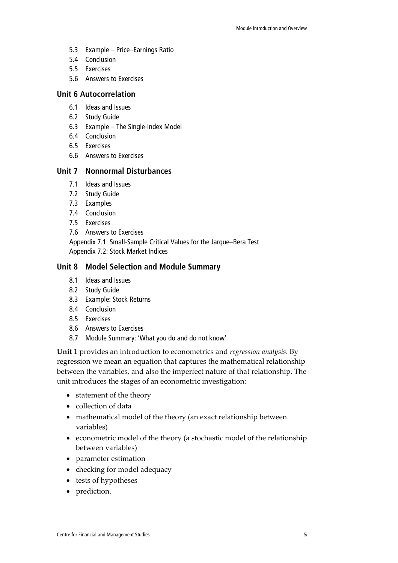- 5.3 Example Price–Earnings Ratio
- 5.4 Conclusion
- 5.5 Exercises
- 5.6 Answers to Exercises

#### **Unit 6 Autocorrelation**

- 6.1 Ideas and Issues
- 6.2 Study Guide
- 6.3 Example The Single-Index Model
- 6.4 Conclusion
- 6.5 Exercises
- 6.6 Answers to Exercises

#### **Unit 7 Nonnormal Disturbances**

- 7.1 Ideas and Issues
- 7.2 Study Guide
- 7.3 Examples
- 7.4 Conclusion
- 7.5 Exercises
- 7.6 Answers to Exercises

Appendix 7.1: Small-Sample Critical Values for the Jarque–Bera Test Appendix 7.2: Stock Market Indices

#### **Unit 8 Model Selection and Module Summary**

- 8.1 Ideas and Issues
- 8.2 Study Guide
- 8.3 Example: Stock Returns
- 8.4 Conclusion
- 8.5 Exercises
- 8.6 Answers to Exercises
- 8.7 Module Summary: 'What you do and do not know'

**Unit 1** provides an introduction to econometrics and *regression analysis*. By regression we mean an equation that captures the mathematical relationship between the variables, and also the imperfect nature of that relationship. The unit introduces the stages of an econometric investigation:

- statement of the theory
- collection of data
- mathematical model of the theory (an exact relationship between variables)
- econometric model of the theory (a stochastic model of the relationship between variables)
- parameter estimation
- checking for model adequacy
- tests of hypotheses
- prediction.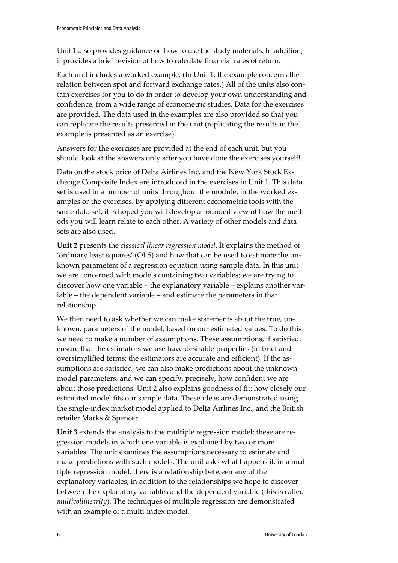Unit 1 also provides guidance on how to use the study materials. In addition, it provides a brief revision of how to calculate financial rates of return.

Each unit includes a worked example. (In Unit 1, the example concerns the relation between spot and forward exchange rates.) All of the units also contain exercises for you to do in order to develop your own understanding and confidence, from a wide range of econometric studies. Data for the exercises are provided. The data used in the examples are also provided so that you can replicate the results presented in the unit (replicating the results in the example is presented as an exercise).

Answers for the exercises are provided at the end of each unit, but you should look at the answers only after you have done the exercises yourself!

Data on the stock price of Delta Airlines Inc. and the New York Stock Exchange Composite Index are introduced in the exercises in Unit 1. This data set is used in a number of units throughout the module, in the worked examples or the exercises. By applying different econometric tools with the same data set, it is hoped you will develop a rounded view of how the methods you will learn relate to each other. A variety of other models and data sets are also used.

**Unit 2** presents the *classical linear regression model*. It explains the method of 'ordinary least squares' (OLS) and how that can be used to estimate the unknown parameters of a regression equation using sample data. In this unit we are concerned with models containing two variables; we are trying to discover how one variable – the explanatory variable – explains another variable – the dependent variable – and estimate the parameters in that relationship.

We then need to ask whether we can make statements about the true, unknown, parameters of the model, based on our estimated values. To do this we need to make a number of assumptions. These assumptions, if satisfied, ensure that the estimators we use have desirable properties (in brief and oversimplified terms: the estimators are accurate and efficient). If the assumptions are satisfied, we can also make predictions about the unknown model parameters, and we can specify, precisely, how confident we are about those predictions. Unit 2 also explains goodness of fit: how closely our estimated model fits our sample data. These ideas are demonstrated using the single-index market model applied to Delta Airlines Inc., and the British retailer Marks & Spencer.

**Unit 3** extends the analysis to the multiple regression model; these are regression models in which one variable is explained by two or more variables. The unit examines the assumptions necessary to estimate and make predictions with such models. The unit asks what happens if, in a multiple regression model, there is a relationship between any of the explanatory variables, in addition to the relationships we hope to discover between the explanatory variables and the dependent variable (this is called *multicollinearity*). The techniques of multiple regression are demonstrated with an example of a multi-index model.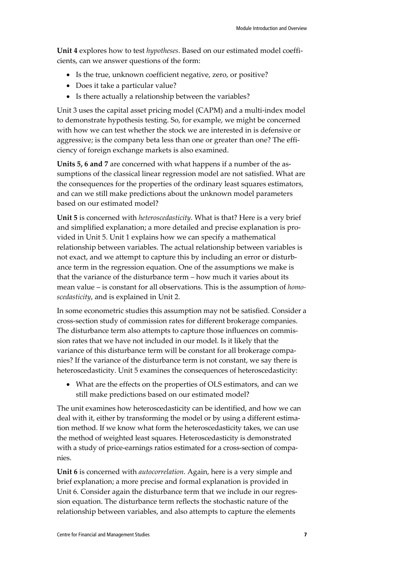**Unit 4** explores how to test *hypotheses*. Based on our estimated model coefficients, can we answer questions of the form:

- Is the true, unknown coefficient negative, zero, or positive?
- Does it take a particular value?
- Is there actually a relationship between the variables?

Unit 3 uses the capital asset pricing model (CAPM) and a multi-index model to demonstrate hypothesis testing. So, for example, we might be concerned with how we can test whether the stock we are interested in is defensive or aggressive; is the company beta less than one or greater than one? The efficiency of foreign exchange markets is also examined.

**Units 5, 6 and 7** are concerned with what happens if a number of the assumptions of the classical linear regression model are not satisfied. What are the consequences for the properties of the ordinary least squares estimators, and can we still make predictions about the unknown model parameters based on our estimated model?

**Unit 5** is concerned with *heteroscedasticity*. What is that? Here is a very brief and simplified explanation; a more detailed and precise explanation is provided in Unit 5. Unit 1 explains how we can specify a mathematical relationship between variables. The actual relationship between variables is not exact, and we attempt to capture this by including an error or disturbance term in the regression equation. One of the assumptions we make is that the variance of the disturbance term – how much it varies about its mean value – is constant for all observations. This is the assumption of *homoscedasticity*, and is explained in Unit 2.

In some econometric studies this assumption may not be satisfied. Consider a cross-section study of commission rates for different brokerage companies. The disturbance term also attempts to capture those influences on commission rates that we have not included in our model. Is it likely that the variance of this disturbance term will be constant for all brokerage companies? If the variance of the disturbance term is not constant, we say there is heteroscedasticity. Unit 5 examines the consequences of heteroscedasticity:

• What are the effects on the properties of OLS estimators, and can we still make predictions based on our estimated model?

The unit examines how heteroscedasticity can be identified, and how we can deal with it, either by transforming the model or by using a different estimation method. If we know what form the heteroscedasticity takes, we can use the method of weighted least squares. Heteroscedasticity is demonstrated with a study of price-earnings ratios estimated for a cross-section of companies.

**Unit 6** is concerned with *autocorrelation*. Again, here is a very simple and brief explanation; a more precise and formal explanation is provided in Unit 6. Consider again the disturbance term that we include in our regression equation. The disturbance term reflects the stochastic nature of the relationship between variables, and also attempts to capture the elements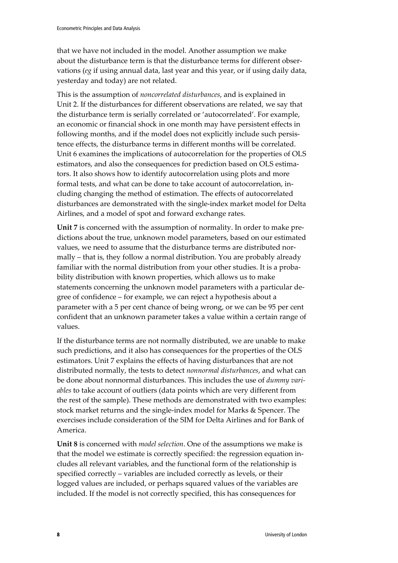that we have not included in the model. Another assumption we make about the disturbance term is that the disturbance terms for different observations (*eg* if using annual data, last year and this year, or if using daily data, yesterday and today) are not related.

This is the assumption of *noncorrelated disturbances*, and is explained in Unit 2. If the disturbances for different observations are related, we say that the disturbance term is serially correlated or 'autocorrelated'. For example, an economic or financial shock in one month may have persistent effects in following months, and if the model does not explicitly include such persistence effects, the disturbance terms in different months will be correlated. Unit 6 examines the implications of autocorrelation for the properties of OLS estimators, and also the consequences for prediction based on OLS estimators. It also shows how to identify autocorrelation using plots and more formal tests, and what can be done to take account of autocorrelation, including changing the method of estimation. The effects of autocorrelated disturbances are demonstrated with the single-index market model for Delta Airlines, and a model of spot and forward exchange rates.

**Unit 7** is concerned with the assumption of normality. In order to make predictions about the true, unknown model parameters, based on our estimated values, we need to assume that the disturbance terms are distributed normally – that is, they follow a normal distribution. You are probably already familiar with the normal distribution from your other studies. It is a probability distribution with known properties, which allows us to make statements concerning the unknown model parameters with a particular degree of confidence – for example, we can reject a hypothesis about a parameter with a 5 per cent chance of being wrong, or we can be 95 per cent confident that an unknown parameter takes a value within a certain range of values.

If the disturbance terms are not normally distributed, we are unable to make such predictions, and it also has consequences for the properties of the OLS estimators. Unit 7 explains the effects of having disturbances that are not distributed normally, the tests to detect *nonnormal disturbances*, and what can be done about nonnormal disturbances. This includes the use of *dummy variables* to take account of outliers (data points which are very different from the rest of the sample). These methods are demonstrated with two examples: stock market returns and the single-index model for Marks & Spencer. The exercises include consideration of the SIM for Delta Airlines and for Bank of America.

**Unit 8** is concerned with *model selection*. One of the assumptions we make is that the model we estimate is correctly specified: the regression equation includes all relevant variables, and the functional form of the relationship is specified correctly – variables are included correctly as levels, or their logged values are included, or perhaps squared values of the variables are included. If the model is not correctly specified, this has consequences for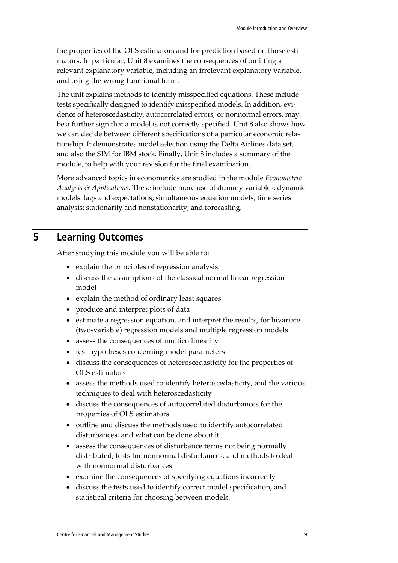the properties of the OLS estimators and for prediction based on those estimators. In particular, Unit 8 examines the consequences of omitting a relevant explanatory variable, including an irrelevant explanatory variable, and using the wrong functional form.

The unit explains methods to identify misspecified equations. These include tests specifically designed to identify misspecified models. In addition, evidence of heteroscedasticity, autocorrelated errors, or nonnormal errors, may be a further sign that a model is not correctly specified. Unit 8 also shows how we can decide between different specifications of a particular economic relationship. It demonstrates model selection using the Delta Airlines data set, and also the SIM for IBM stock. Finally, Unit 8 includes a summary of the module, to help with your revision for the final examination.

More advanced topics in econometrics are studied in the module *Econometric Analysis & Applications*. These include more use of dummy variables; dynamic models: lags and expectations; simultaneous equation models; time series analysis: stationarity and nonstationarity; and forecasting.

# **5 Learning Outcomes**

After studying this module you will be able to:

- explain the principles of regression analysis
- discuss the assumptions of the classical normal linear regression model
- explain the method of ordinary least squares
- produce and interpret plots of data
- estimate a regression equation, and interpret the results, for bivariate (two-variable) regression models and multiple regression models
- assess the consequences of multicollinearity
- test hypotheses concerning model parameters
- discuss the consequences of heteroscedasticity for the properties of OLS estimators
- assess the methods used to identify heteroscedasticity, and the various techniques to deal with heteroscedasticity
- discuss the consequences of autocorrelated disturbances for the properties of OLS estimators
- outline and discuss the methods used to identify autocorrelated disturbances, and what can be done about it
- assess the consequences of disturbance terms not being normally distributed, tests for nonnormal disturbances, and methods to deal with nonnormal disturbances
- examine the consequences of specifying equations incorrectly
- discuss the tests used to identify correct model specification, and statistical criteria for choosing between models.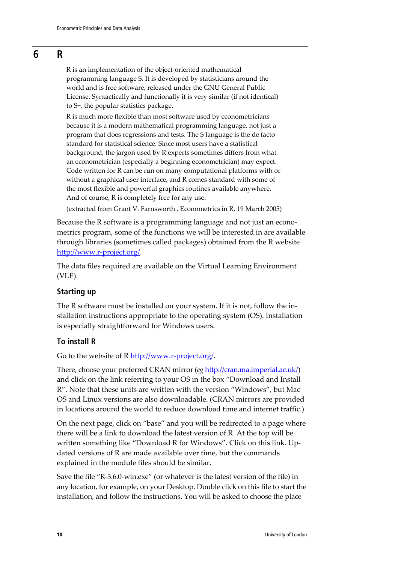#### **6 R**

R is an implementation of the object-oriented mathematical programming language S. It is developed by statisticians around the world and is free software, released under the GNU General Public License. Syntactically and functionally it is very similar (if not identical) to S+, the popular statistics package.

R is much more flexible than most software used by econometricians because it is a modern mathematical programming language, not just a program that does regressions and tests. The S language is the de facto standard for statistical science. Since most users have a statistical background, the jargon used by R experts sometimes differs from what an econometrician (especially a beginning econometrician) may expect. Code written for R can be run on many computational platforms with or without a graphical user interface, and R comes standard with some of the most flexible and powerful graphics routines available anywhere. And of course, R is completely free for any use.

(extracted from Grant V. Farnsworth , Econometrics in R, 19 March 2005)

Because the R software is a programming language and not just an econometrics program, some of the functions we will be interested in are available through libraries (sometimes called packages) obtained from the R website [http://www.r-project.org/.](http://www.r-project.org/)

The data files required are available on the Virtual Learning Environment (VLE).

#### **Starting up**

The R software must be installed on your system. If it is not, follow the installation instructions appropriate to the operating system (OS). Installation is especially straightforward for Windows users.

#### **To install R**

Go to the website of R [http://www.r-project.org/.](http://www.r-project.org/)

There, choose your preferred CRAN mirror (*eg* [http://cran.ma.imperial.ac.uk/\)](http://cran.ma.imperial.ac.uk/) and click on the link referring to your OS in the box "Download and Install R". Note that these units are written with the version "Windows", but Mac OS and Linux versions are also downloadable. (CRAN mirrors are provided in locations around the world to reduce download time and internet traffic.)

On the next page, click on "base" and you will be redirected to a page where there will be a link to download the latest version of R. At the top will be written something like "Download R for Windows". Click on this link. Updated versions of R are made available over time, but the commands explained in the module files should be similar.

Save the file "R-3.6.0-win.exe" (or whatever is the latest version of the file) in any location, for example, on your Desktop. Double click on this file to start the installation, and follow the instructions. You will be asked to choose the place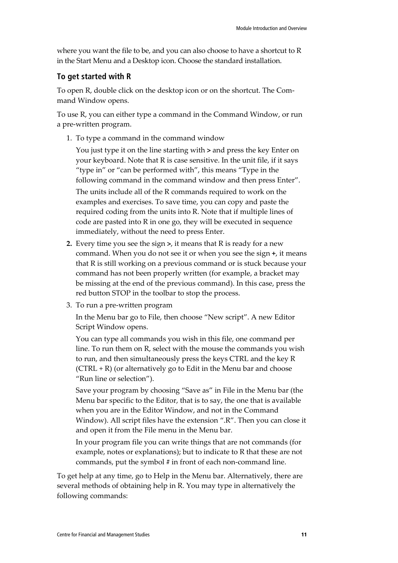where you want the file to be, and you can also choose to have a shortcut to R in the Start Menu and a Desktop icon. Choose the standard installation.

#### **To get started with R**

To open R, double click on the desktop icon or on the shortcut. The Command Window opens.

To use R, you can either type a command in the Command Window, or run a pre-written program.

1. To type a command in the command window

You just type it on the line starting with **>** and press the key Enter on your keyboard. Note that R is case sensitive. In the unit file, if it says "type in" or "can be performed with", this means "Type in the following command in the command window and then press Enter".

The units include all of the R commands required to work on the examples and exercises. To save time, you can copy and paste the required coding from the units into R. Note that if multiple lines of code are pasted into R in one go, they will be executed in sequence immediately, without the need to press Enter.

- **2.** Every time you see the sign **>**, it means that R is ready for a new command. When you do not see it or when you see the sign **+**, it means that R is still working on a previous command or is stuck because your command has not been properly written (for example, a bracket may be missing at the end of the previous command). In this case, press the red button STOP in the toolbar to stop the process.
- 3. To run a pre-written program

In the Menu bar go to File, then choose "New script". A new Editor Script Window opens.

You can type all commands you wish in this file, one command per line. To run them on R, select with the mouse the commands you wish to run, and then simultaneously press the keys CTRL and the key R  $(CTRL + R)$  (or alternatively go to Edit in the Menu bar and choose "Run line or selection").

Save your program by choosing "Save as" in File in the Menu bar (the Menu bar specific to the Editor, that is to say, the one that is available when you are in the Editor Window, and not in the Command Window). All script files have the extension ".R". Then you can close it and open it from the File menu in the Menu bar.

In your program file you can write things that are not commands (for example, notes or explanations); but to indicate to R that these are not commands, put the symbol **#** in front of each non-command line.

To get help at any time, go to Help in the Menu bar. Alternatively, there are several methods of obtaining help in R. You may type in alternatively the following commands: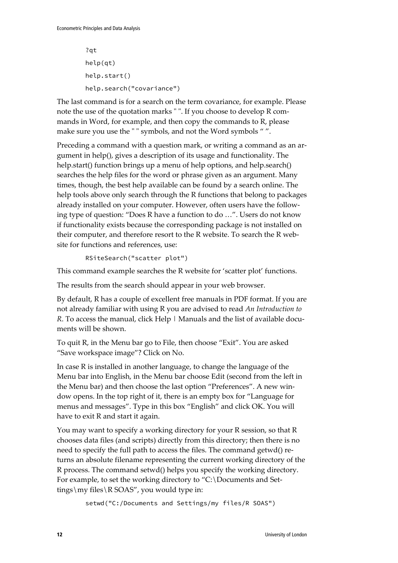```
?qt
help(qt)
help.start()
help.search("covariance")
```
The last command is for a search on the term covariance, for example. Please note the use of the quotation marks " ". If you choose to develop R commands in Word, for example, and then copy the commands to R, please make sure you use the " " symbols, and not the Word symbols " ".

Preceding a command with a question mark, or writing a command as an argument in help(), gives a description of its usage and functionality. The help.start() function brings up a menu of help options, and help.search() searches the help files for the word or phrase given as an argument. Many times, though, the best help available can be found by a search online. The help tools above only search through the R functions that belong to packages already installed on your computer. However, often users have the following type of question: "Does R have a function to do …". Users do not know if functionality exists because the corresponding package is not installed on their computer, and therefore resort to the R website. To search the R website for functions and references, use:

RSiteSearch("scatter plot")

This command example searches the R website for 'scatter plot' functions.

The results from the search should appear in your web browser.

By default, R has a couple of excellent free manuals in PDF format. If you are not already familiar with using R you are advised to read *An Introduction to R*. To access the manual, click Help | Manuals and the list of available documents will be shown.

To quit R, in the Menu bar go to File, then choose "Exit". You are asked "Save workspace image"? Click on No.

In case R is installed in another language, to change the language of the Menu bar into English, in the Menu bar choose Edit (second from the left in the Menu bar) and then choose the last option "Preferences". A new window opens. In the top right of it, there is an empty box for "Language for menus and messages". Type in this box "English" and click OK. You will have to exit R and start it again.

You may want to specify a working directory for your R session, so that R chooses data files (and scripts) directly from this directory; then there is no need to specify the full path to access the files. The command getwd() returns an absolute filename representing the current working directory of the R process. The command setwd() helps you specify the working directory. For example, to set the working directory to "C:\Documents and Settings\my files\R SOAS", you would type in:

setwd("C:/Documents and Settings/my files/R SOAS")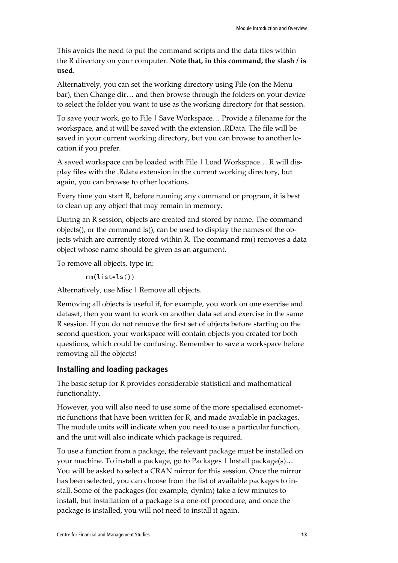This avoids the need to put the command scripts and the data files within the R directory on your computer. **Note that, in this command, the slash / is used**.

Alternatively, you can set the working directory using File (on the Menu bar), then Change dir… and then browse through the folders on your device to select the folder you want to use as the working directory for that session.

To save your work, go to File | Save Workspace… Provide a filename for the workspace, and it will be saved with the extension .RData. The file will be saved in your current working directory, but you can browse to another location if you prefer.

A saved workspace can be loaded with File | Load Workspace... R will display files with the .Rdata extension in the current working directory, but again, you can browse to other locations.

Every time you start R, before running any command or program, it is best to clean up any object that may remain in memory.

During an R session, objects are created and stored by name. The command objects(), or the command ls(), can be used to display the names of the objects which are currently stored within R. The command rm() removes a data object whose name should be given as an argument.

To remove all objects, type in:

rm(list=ls())

Alternatively, use Misc | Remove all objects.

Removing all objects is useful if, for example, you work on one exercise and dataset, then you want to work on another data set and exercise in the same R session. If you do not remove the first set of objects before starting on the second question, your workspace will contain objects you created for both questions, which could be confusing. Remember to save a workspace before removing all the objects!

#### **Installing and loading packages**

The basic setup for R provides considerable statistical and mathematical functionality.

However, you will also need to use some of the more specialised econometric functions that have been written for R, and made available in packages. The module units will indicate when you need to use a particular function, and the unit will also indicate which package is required.

To use a function from a package, the relevant package must be installed on your machine. To install a package, go to Packages | Install package(s)… You will be asked to select a CRAN mirror for this session. Once the mirror has been selected, you can choose from the list of available packages to install. Some of the packages (for example, dynlm) take a few minutes to install, but installation of a package is a one-off procedure, and once the package is installed, you will not need to install it again.